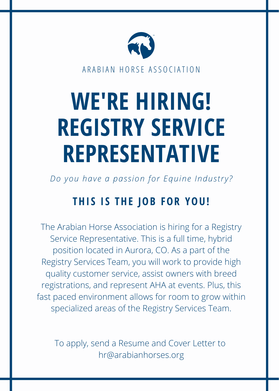

ARABIAN HORSE ASSOCIATION

# **WE'RE HIRING! REGISTRY SERVICE REPRESENTATIVE**

*Do you have a pas s ion for Equine Indus try?*

## **THI S I S THE JOB FOR YOU!**

The Arabian Horse Association is hiring for a Registry Service Representative. This is a full time, hybrid position located in Aurora, CO. As a part of the Registry Services Team, you will work to provide high quality customer service, assist owners with breed registrations, and represent AHA at events. Plus, this fast paced environment allows for room to grow within specialized areas of the Registry Services Team.

To apply, send a Resume and Cover Letter to hr@arabianhorses.org